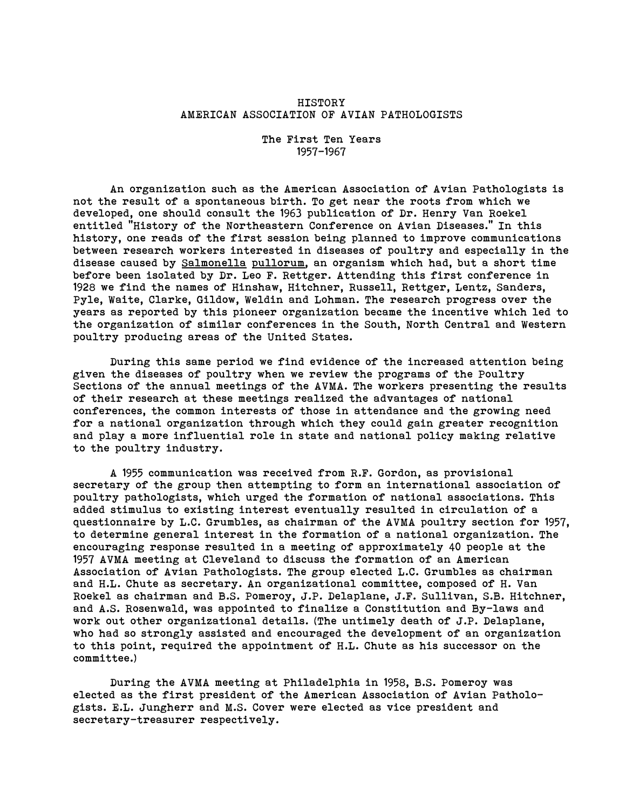# HISTORY AMERICAN ASSOCIATION OF AVIAN PATHOLOGISTS

The First Ten Years 1957-1967

An organization such as the American Association of Avian Pathologists is not the result of a spontaneous birth. To get near the roots from which we developed, one should consult the 1963 publication of Dr. Henry Van Roekel entitled "History of the Northeastern Conference on Avian Diseases." In this history, one reads of the first session being planned to improve communications between research workers interested in diseases of poultry and especially in the disease caused by Salmonella pullorum, an organism which had, but a short time before been isolated by Dr. Leo F. Rettger. Attending this first conference in 1928 we find the names of Hinshaw, Hitchner, Russell, Rettger, Lentz, Sanders, Pyle, Waite, Clarke, Gildow, Weldin and Lohman. The research progress over the years as reported by this pioneer organization became the incentive which led to the organization of similar conferences in the South, North Central and Western poultry producing areas of the United States.

During this same period we find evidence of the increased attention being given the diseases of poultry when we review the programs of the Poultry Sections of the annual meetings of the AVMA. The workers presenting the results of their research at these meetings realized the advantages of national conferences, the common interests of those in attendance and the growing need for a national organization through which they could gain greater recognition and play a more influential role in state and national policy making relative to the poultry industry.

A 1955 communication was received from R.F. Gordon, as provisional secretary of the group then attempting to form an international association of poultry pathologists, which urged the formation of national associations. This added stimulus to existing interest eventually resulted in circulation of a questionnaire by L.C. Grumbles, as chairman of the AVMA poultry section for 1957, to determine general interest in the formation of a national organization. The encouraging response resulted in a meeting of approximately 40 people at the 1957 AVMA meeting at Cleveland to discuss the formation of an American Association of Avian Pathologists. The group elected L.C. Grumbles as chairman and H.L. Chute as secretary. An organizational committee, composed of H. Van Roekel as chairman and B.S. Pomeroy, J.P. Delaplane, J.F. Sullivan, S.B. Hitchner, and A.S. Rosenwald, was appointed to finalize a Constitution and By-laws and work out other organizational details. (The untimely death of J.P. Delaplane, who had so strongly assisted and encouraged the development of an organization to this point, required the appointment of H.L. Chute as his successor on the committee.)

During the AVMA meeting at Philadelphia in 1958, B.S. Pomeroy was elected as the first president of the American Association of Avian Pathologists. E.L. Jungherr and M.S. Cover were elected as vice president and secretary-treasurer respectively.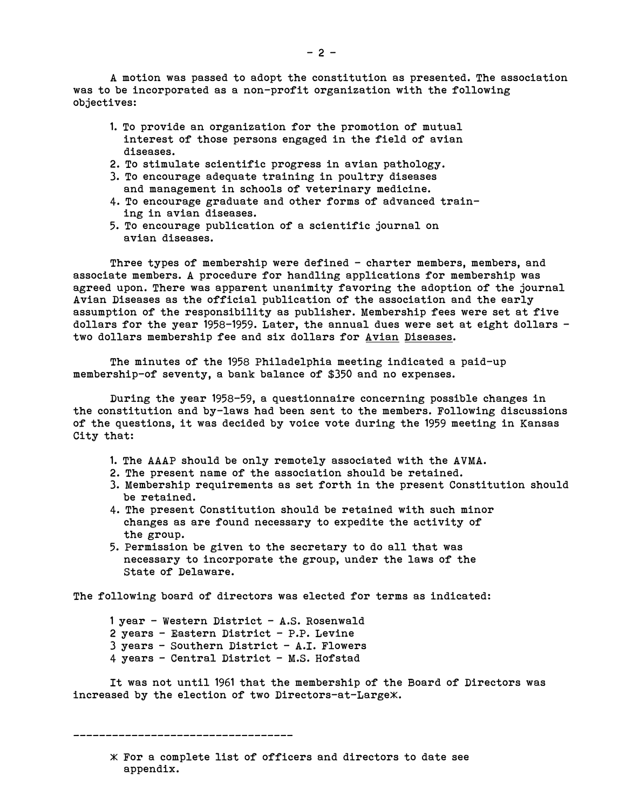A motion was passed to adopt the constitution as presented. The association was to be incorporated as a non-profit organization with the following objectives:

- 1. To provide an organization for the promotion of mutual interest of those persons engaged in the field of avian diseases.
- 2. To stimulate scientific progress in avian pathology.
- 3. To encourage adequate training in poultry diseases and management in schools of veterinary medicine.
- 4. To encourage graduate and other forms of advanced training in avian diseases.
- 5. To encourage publication of a scientific journal on avian diseases.

Three types of membership were defined — charter members, members, and associate members. A procedure for handling applications for membership was agreed upon. There was apparent unanimity favoring the adoption of the journal Avian Diseases as the official publication of the association and the early assumption of the responsibility as publisher. Membership fees were set at five dollars for the year 1958-1959. Later, the annual dues were set at eight dollars two dollars membership fee and six dollars for Avian Diseases.

The minutes of the 1958 Philadelphia meeting indicated a paid-up membership-of seventy, a bank balance of \$350 and no expenses.

During the year 1958-59, a questionnaire concerning possible changes in the constitution and by-laws had been sent to the members. Following discussions of the questions, it was decided by voice vote during the 1959 meeting in Kansas City that:

- 1. The AAAP should be only remotely associated with the AVMA.
- 2. The present name of the association should be retained.
- 3. Membership requirements as set forth in the present Constitution should be retained.
- 4. The present Constitution should be retained with such minor changes as are found necessary to expedite the activity of the group.
- 5. Permission be given to the secretary to do all that was necessary to incorporate the group, under the laws of the State of Delaware.

The following board of directors was elected for terms as indicated:

1 year - Western District — A.S. Rosenwald 2 years — Eastern District — P.P. Levine 3 years — Southern District - A.I. Flowers 4 years — Central District — M.S. Hofstad

It was not until 1961 that the membership of the Board of Directors was increased by the election of two Directors-at-Largex.

\_\_\_\_\_\_\_\_\_\_\_\_\_\_\_\_\_\_\_\_\_\_\_\_\_\_\_\_\_\_\_\_\_\_

 $*$  For a complete list of officers and directors to date see appendix.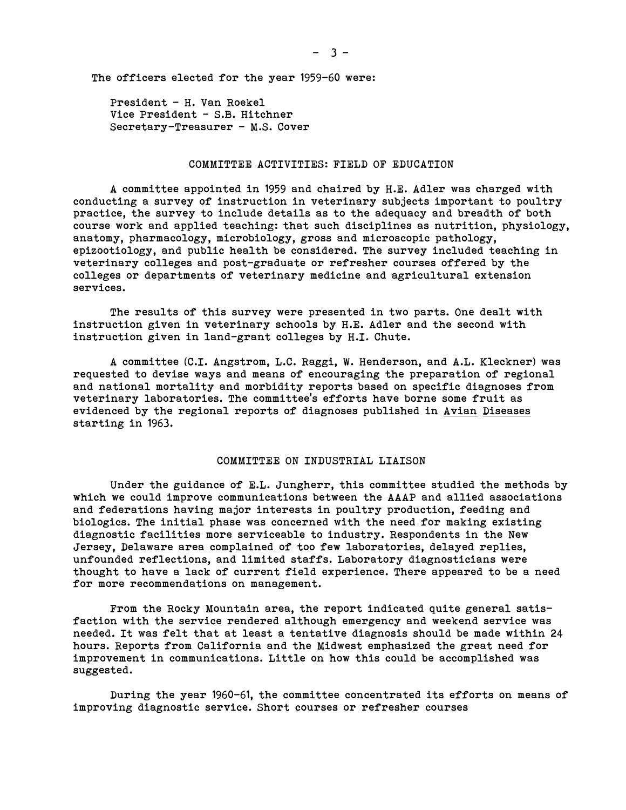The officers elected for the year 1959-60 were:

President — H. Van Roekel Vice President — S.B. Hitchner Secretary-Treasurer — M.S. Cover

#### COMMITTEE ACTIVITIES: FIELD OF EDUCATION

A committee appointed in 1959 and chaired by H.E. Adler was charged with conducting a survey of instruction in veterinary subjects important to poultry practice, the survey to include details as to the adequacy and breadth of both course work and applied teaching: that such disciplines as nutrition, physiology, anatomy, pharmacology, microbiology, gross and microscopic pathology, epizootiology, and public health be considered. The survey included teaching in veterinary colleges and post-graduate or refresher courses offered by the colleges or departments of veterinary medicine and agricultural extension services.

The results of this survey were presented in two parts. One dealt with instruction given in veterinary schools by H.E. Adler and the second with instruction given in land-grant colleges by H.I. Chute.

A committee (C.I. Angstrom, L.C. Raggi, W. Henderson, and A.L. Kleckner) was requested to devise ways and means of encouraging the preparation of regional and national mortality and morbidity reports based on specific diagnoses from veterinary laboratories. The committee's efforts have borne some fruit as evidenced by the regional reports of diagnoses published in Avian Diseases starting in 1963.

## COMMITTEE ON INDUSTRIAL LIAISON

Under the guidance of E.L. Jungherr, this committee studied the methods by which we could improve communications between the AAAP and allied associations and federations having major interests in poultry production, feeding and biologics. The initial phase was concerned with the need for making existing diagnostic facilities more serviceable to industry. Respondents in the New Jersey, Delaware area complained of too few laboratories, delayed replies, unfounded reflections, and limited staffs. Laboratory diagnosticians were thought to have a lack of current field experience. There appeared to be a need for more recommendations on management.

From the Rocky Mountain area, the report indicated quite general satisfaction with the service rendered although emergency and weekend service was needed. It was felt that at least a tentative diagnosis should be made within 24 hours. Reports from California and the Midwest emphasized the great need for improvement in communications. Little on how this could be accomplished was suggested.

During the year 1960-61, the committee concentrated its efforts on means of improving diagnostic service. Short courses or refresher courses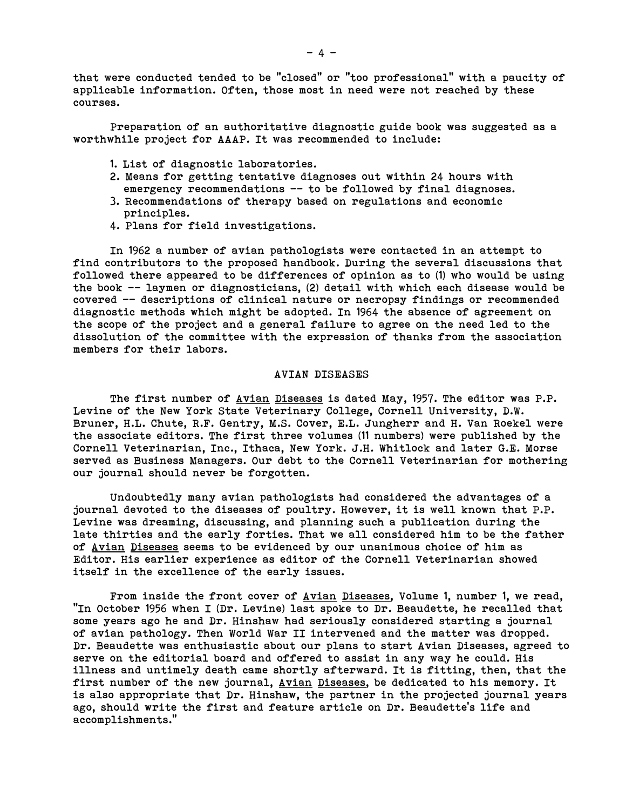that were conducted tended to be "closed" or "too professional" with a paucity of applicable information. Often, those most in need were not reached by these courses.

Preparation of an authoritative diagnostic guide book was suggested as a worthwhile project for AAAP. It was recommended to include:

- 1. List of diagnostic laboratories.
- 2. Means for getting tentative diagnoses out within 24 hours with emergency recommendations -- to be followed by final diagnoses.
- 3. Recommendations of therapy based on regulations and economic principles.
- 4. Plans for field investigations.

In 1962 a number of avian pathologists were contacted in an attempt to find contributors to the proposed handbook. During the several discussions that followed there appeared to be differences of opinion as to (1) who would be using the book —- laymen or diagnosticians, (2) detail with which each disease would be covered —- descriptions of clinical nature or necropsy findings or recommended diagnostic methods which might be adopted. In 1964 the absence of agreement on the scope of the project and a general failure to agree on the need led to the dissolution of the committee with the expression of thanks from the association members for their labors.

#### AVIAN DISEASES

The first number of Avian Diseases is dated May, 1957. The editor was P.P. Levine of the New York State Veterinary College, Cornell University, D.W. Bruner, H.L. Chute, R.F. Gentry, M.S. Cover, E.L. Jungherr and H. Van Roekel were the associate editors. The first three volumes (11 numbers) were published by the Cornell Veterinarian, Inc., Ithaca, New York. J.H. Whitlock and later G.E. Morse served as Business Managers. Our debt to the Cornell Veterinarian for mothering our journal should never be forgotten.

Undoubtedly many avian pathologists had considered the advantages of a journal devoted to the diseases of poultry. However, it is well known that P.P. Levine was dreaming, discussing, and planning such a publication during the late thirties and the early forties. That we all considered him to be the father of Avian Diseases seems to be evidenced by our unanimous choice of him as Editor. His earlier experience as editor of the Cornell Veterinarian showed itself in the excellence of the early issues.

From inside the front cover of Avian Diseases, Volume 1, number 1, we read, "In October 1956 when I (Dr. Levine) last spoke to Dr. Beaudette, he recalled that some years ago he and Dr. Hinshaw had seriously considered starting a journal of avian pathology. Then World War II intervened and the matter was dropped. Dr. Beaudette was enthusiastic about our plans to start Avian Diseases, agreed to serve on the editorial board and offered to assist in any way he could. His illness and untimely death came shortly afterward. It is fitting, then, that the first number of the new journal, Avian Diseases, be dedicated to his memory. It is also appropriate that Dr. Hinshaw, the partner in the projected journal years ago, should write the first and feature article on Dr. Beaudette's life and accomplishments."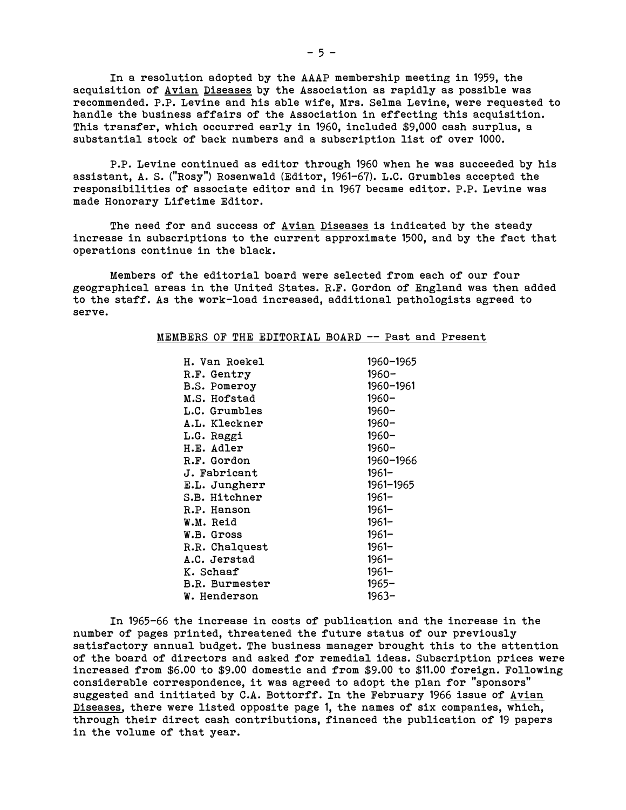In a resolution adopted by the AAAP membership meeting in 1959, the acquisition of Avian Diseases by the Association as rapidly as possible was recommended. P.P. Levine and his able wife, Mrs. Selma Levine, were requested to handle the business affairs of the Association in effecting this acquisition. This transfer, which occurred early in 1960, included \$9,000 cash surplus, a substantial stock of back numbers and a subscription list of over 1000.

P.P. Levine continued as editor through 1960 when he was succeeded by his assistant, A. S. ("Rosy") Rosenwald (Editor, 1961-67). L.C. Grumbles accepted the responsibilities of associate editor and in 1967 became editor. P.P. Levine was made Honorary Lifetime Editor.

The need for and success of Avian Diseases is indicated by the steady increase in subscriptions to the current approximate 1500, and by the fact that operations continue in the black.

Members of the editorial board were selected from each of our four geographical areas in the United States. R.F. Gordon of England was then added to the staff. As the work-load increased, additional pathologists agreed to serve.

#### MEMBERS OF THE EDITORIAL BOARD -- Past and Present

| H. Van Roekel         | 1960-1965 |
|-----------------------|-----------|
| R.F. Gentry           | 1960–     |
| <b>B.S. Pomeroy</b>   | 1960-1961 |
| M.S. Hofstad          | $1960 -$  |
| L.C. Grumbles         | $1960 -$  |
| A.L. Kleckner         | $1960 -$  |
| L.G. Raggi            | $1960 -$  |
| H.E. Adler            | $1960 -$  |
| R.F. Gordon           | 1960-1966 |
| J. Fabricant          | $1961 -$  |
| E.L. Jungherr         | 1961-1965 |
| S.B. Hitchner         | $1961 -$  |
| R.P. Hanson           | 1961–     |
| W.M. Reid             | $1961 -$  |
| W.B. Gross            | $1961 -$  |
| R.R. Chalquest        | $1961 -$  |
| A.C. Jerstad          | $1961 -$  |
| K. Schaaf             | $1961 -$  |
| <b>B.R. Burmester</b> | $1965 -$  |
| W. Henderson          | 1963–     |

In 1965-66 the increase in costs of publication and the increase in the number of pages printed, threatened the future status of our previously satisfactory annual budget. The business manager brought this to the attention of the board of directors and asked for remedial ideas. Subscription prices were increased from \$6.00 to \$9.00 domestic and from \$9.00 to \$11.00 foreign. Following considerable correspondence, it was agreed to adopt the plan for "sponsors" suggested and initiated by C.A. Bottorff. In the February 1966 issue of Avian Diseases, there were listed opposite page 1, the names of six companies, which, through their direct cash contributions, financed the publication of 19 papers in the volume of that year.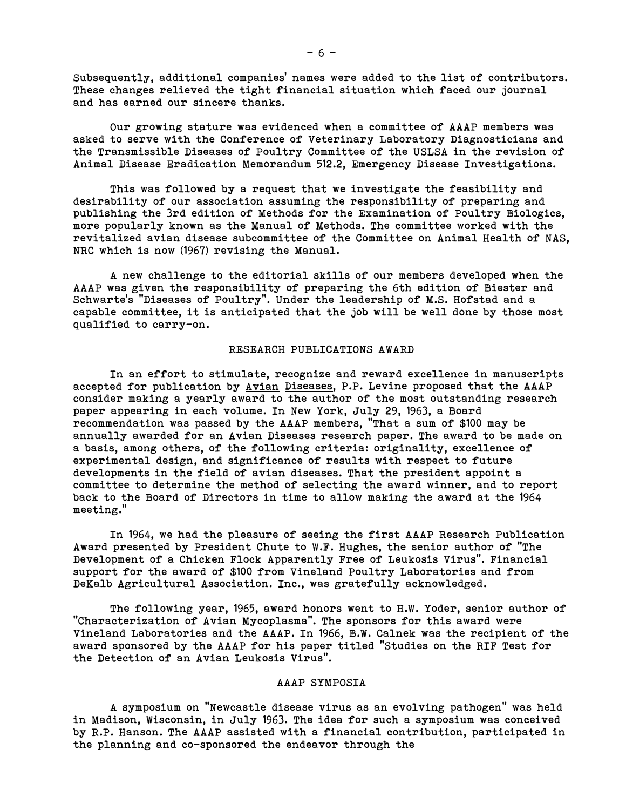Subsequently, additional companies' names were added to the list of contributors. These changes relieved the tight financial situation which faced our journal and has earned our sincere thanks.

Our growing stature was evidenced when a committee of AAAP members was asked to serve with the Conference of Veterinary Laboratory Diagnosticians and the Transmissible Diseases of Poultry Committee of the USLSA in the revision of Animal Disease Eradication Memorandum 512.2, Emergency Disease Investigations.

This was followed by a request that we investigate the feasibility and desirability of our association assuming the responsibility of preparing and publishing the 3rd edition of Methods for the Examination of Poultry Biologics, more popularly known as the Manual of Methods. The committee worked with the revitalized avian disease subcommittee of the Committee on Animal Health of NAS, NRC which is now (1967) revising the Manual.

A new challenge to the editorial skills of our members developed when the AAAP was given the responsibility of preparing the 6th edition of Biester and Schwarte's "Diseases of Poultry". Under the leadership of M.S. Hofstad and a capable committee, it is anticipated that the job will be well done by those most qualified to carry-on.

# RESEARCH PUBLICATIONS AWARD

In an effort to stimulate, recognize and reward excellence in manuscripts accepted for publication by Avian Diseases, P.P. Levine proposed that the AAAP consider making a yearly award to the author of the most outstanding research paper appearing in each volume. In New York, July 29, 1963, a Board recommendation was passed by the AAAP members, "That a sum of \$100 may be annually awarded for an Avian Diseases research paper. The award to be made on a basis, among others, of the following criteria: originality, excellence of experimental design, and significance of results with respect to future developments in the field of avian diseases. That the president appoint a committee to determine the method of selecting the award winner, and to report back to the Board of Directors in time to allow making the award at the 1964 meeting."

In 1964, we had the pleasure of seeing the first AAAP Research Publication Award presented by President Chute to W.F. Hughes, the senior author of "The Development of a Chicken Flock Apparently Free of Leukosis Virus". Financial support for the award of \$100 from Vineland Poultry Laboratories and from DeKalb Agricultural Association. Inc., was gratefully acknowledged.

The following year, 1965, award honors went to H.W. Yoder, senior author of "Characterization of Avian Mycoplasma". The sponsors for this award were Vineland Laboratories and the AAAP. In 1966, B.W. Calnek was the recipient of the award sponsored by the AAAP for his paper titled "Studies on the RIF Test for the Detection of an Avian Leukosis Virus".

### AAAP SYMPOSIA

A symposium on "Newcastle disease virus as an evolving pathogen" was held in Madison, Wisconsin, in July 1963. The idea for such a symposium was conceived by R.P. Hanson. The AAAP assisted with a financial contribution, participated in the planning and co-sponsored the endeavor through the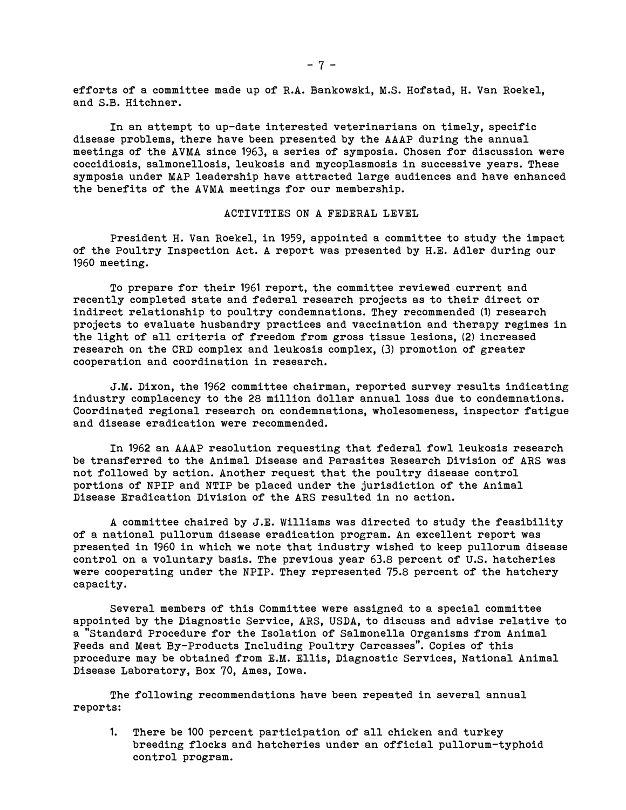efforts of a committee made up of R.A. Bankowski, M.S. Hofstad, H. Van Roekel, and S.B. Hitchner.

In an attempt to up-date interested veterinarians on timely, specific disease problems, there have been presented by the AAAP during the annual meetings of the AVMA since 1963, a series of symposia. Chosen for discussion were coccidiosis, salmonellosis, leukosis and mycoplasmosis in successive years. These symposia under MAP leadership have attracted large audiences and have enhanced the benefits of the AVMA meetings for our membership.

## ACTIVITIES ON A FEDERAL LEVEL

President H. Van Roekel, in 1959, appointed a committee to study the impact of the Poultry Inspection Act. A report was presented by H.E. Adler during our 1960 meeting.

To prepare for their 1961 report, the committee reviewed current and recently completed state and federal research projects as to their direct or indirect relationship to poultry condemnations. They recommended (1) research projects to evaluate husbandry practices and vaccination and therapy regimes in the light of all criteria of freedom from gross tissue lesions, (2) increased research on the CRD complex and leukosis complex, (3) promotion of greater cooperation and coordination in research.

J.M. Dixon, the 1962 committee chairman, reported survey results indicating industry complacency to the 28 million dollar annual loss due to condemnations. Coordinated regional research on condemnations, wholesomeness, inspector fatigue and disease eradication were recommended.

In 1962 an AAAP resolution requesting that federal fowl leukosis research be transferred to the Animal Disease and Parasites Research Division of ARS was not followed by action. Another request that the poultry disease control portions of NPIP and NTIP be placed under the jurisdiction of the Animal Disease Eradication Division of the ARS resulted in no action.

A committee chaired by J.E. Williams was directed to study the feasibility of a national pullorum disease eradication program. An excellent report was presented in 1960 in which we note that industry wished to keep pullorum disease control on a voluntary basis. The previous year 63.8 percent of U.S. hatcheries were cooperating under the NPIP. They represented 75.8 percent of the hatchery capacity.

Several members of this Committee were assigned to a special committee appointed by the Diagnostic Service, ARS, USDA, to discuss and advise relative to a "Standard Procedure for the Isolation of Salmonella Organisms from Animal Feeds and Meat By-Products Including Poultry Carcasses". Copies of this procedure may be obtained from E.M. Ellis, Diagnostic Services, National Animal Disease Laboratory, Box 70, Ames, Iowa.

The following recommendations have been repeated in several annual reports:

1. There be 100 percent participation of all chicken and turkey breeding flocks and hatcheries under an official pullorum-typhoid control program.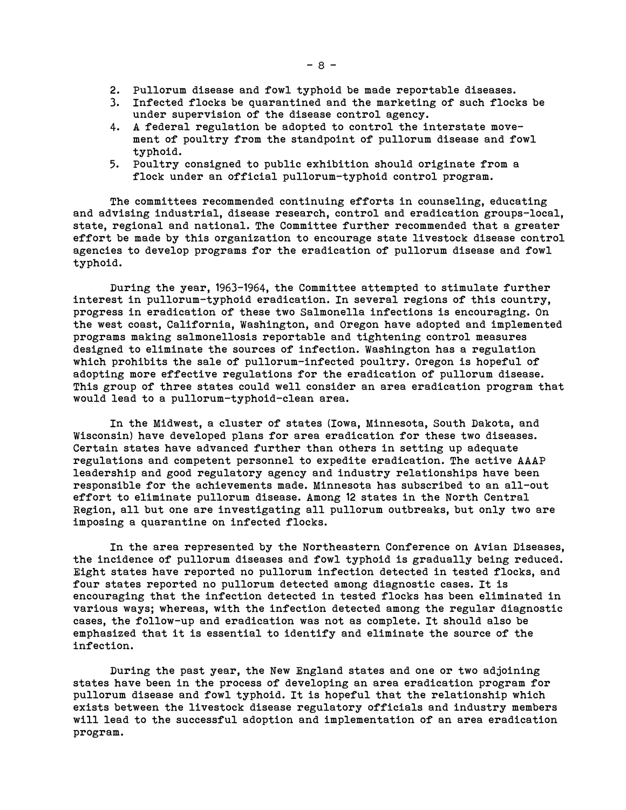- 2. Pullorum disease and fowl typhoid be made reportable diseases.
- 3. Infected flocks be quarantined and the marketing of such flocks be under supervision of the disease control agency.
- 4. A federal regulation be adopted to control the interstate movement of poultry from the standpoint of pullorum disease and fowl typhoid.
- 5. Poultry consigned to public exhibition should originate from a flock under an official pullorum-typhoid control program.

The committees recommended continuing efforts in counseling, educating and advising industrial, disease research, control and eradication groups-local, state, regional and national. The Committee further recommended that a greater effort be made by this organization to encourage state livestock disease control agencies to develop programs for the eradication of pullorum disease and fowl typhoid.

During the year, 1963-1964, the Committee attempted to stimulate further interest in pullorum-typhoid eradication. In several regions of this country, progress in eradication of these two Salmonella infections is encouraging. On the west coast, California, Washington, and Oregon have adopted and implemented programs making salmonellosis reportable and tightening control measures designed to eliminate the sources of infection. Washington has a regulation which prohibits the sale of pullorum-infected poultry. Oregon is hopeful of adopting more effective regulations for the eradication of pullorum disease. This group of three states could well consider an area eradication program that would lead to a pullorum-typhoid-clean area.

In the Midwest, a cluster of states (Iowa, Minnesota, South Dakota, and Wisconsin) have developed plans for area eradication for these two diseases. Certain states have advanced further than others in setting up adequate regulations and competent personnel to expedite eradication. The active AAAP leadership and good regulatory agency and industry relationships have been responsible for the achievements made. Minnesota has subscribed to an all-out effort to eliminate pullorum disease. Among 12 states in the North Central Region, all but one are investigating all pullorum outbreaks, but only two are imposing a quarantine on infected flocks.

In the area represented by the Northeastern Conference on Avian Diseases, the incidence of pullorum diseases and fowl typhoid is gradually being reduced. Eight states have reported no pullorum infection detected in tested flocks, and four states reported no pullorum detected among diagnostic cases. It is encouraging that the infection detected in tested flocks has been eliminated in various ways; whereas, with the infection detected among the regular diagnostic cases, the follow-up and eradication was not as complete. It should also be emphasized that it is essential to identify and eliminate the source of the infection.

During the past year, the New England states and one or two adjoining states have been in the process of developing an area eradication program for pullorum disease and fowl typhoid. It is hopeful that the relationship which exists between the livestock disease regulatory officials and industry members will lead to the successful adoption and implementation of an area eradication program.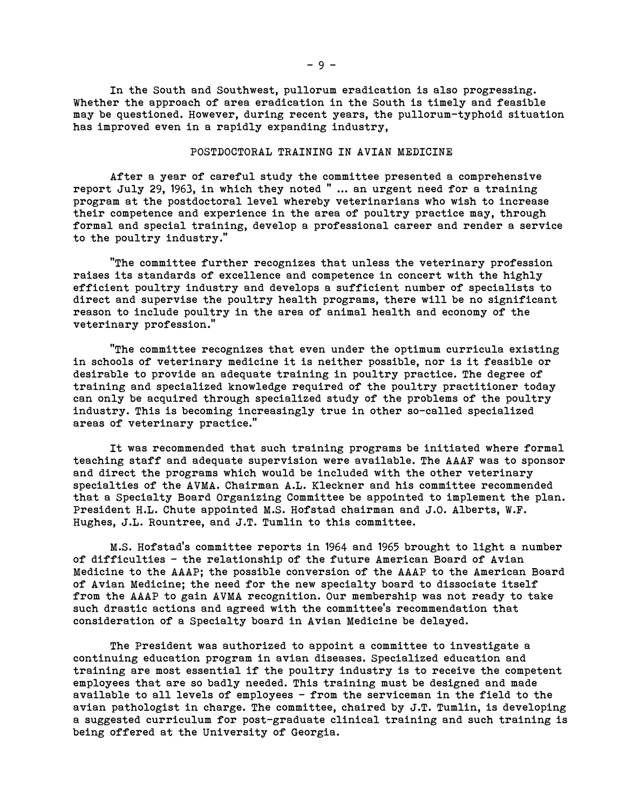In the South and Southwest, pullorum eradication is also progressing. Whether the approach of area eradication in the South is timely and feasible may be questioned. However, during recent years, the pullorum-typhoid situation has improved even in a rapidly expanding industry,

### POSTDOCTORAL TRAINING IN AVIAN MEDICINE

After a year of careful study the committee presented a comprehensive report July 29, 1963, in which they noted " ... an urgent need for a training program at the postdoctoral level whereby veterinarians who wish to increase their competence and experience in the area of poultry practice may, through formal and special training, develop a professional career and render a service to the poultry industry."

"The committee further recognizes that unless the veterinary profession raises its standards of excellence and competence in concert with the highly efficient poultry industry and develops a sufficient number of specialists to direct and supervise the poultry health programs, there will be no significant reason to include poultry in the area of animal health and economy of the veterinary profession."

"The committee recognizes that even under the optimum curricula existing in schools of veterinary medicine it is neither possible, nor is it feasible or desirable to provide an adequate training in poultry practice. The degree of training and specialized knowledge required of the poultry practitioner today can only be acquired through specialized study of the problems of the poultry industry. This is becoming increasingly true in other so-called specialized areas of veterinary practice."

It was recommended that such training programs be initiated where formal teaching staff and adequate supervision were available. The AAAF was to sponsor and direct the programs which would be included with the other veterinary specialties of the AVMA. Chairman A.L. Kleckner and his committee recommended that a Specialty Board Organizing Committee be appointed to implement the plan. President H.L. Chute appointed M.S. Hofstad chairman and J.O. Alberts, W.F. Hughes, J.L. Rountree, and J.T. Tumlin to this committee.

M.S. Hofstad's committee reports in 1964 and 1965 brought to light a number of difficulties — the relationship of the future American Board of Avian Medicine to the AAAP; the possible conversion of the AAAP to the American Board of Avian Medicine; the need for the new specialty board to dissociate itself from the AAAP to gain AVMA recognition. Our membership was not ready to take such drastic actions and agreed with the committee's recommendation that consideration of a Specialty board in Avian Medicine be delayed.

The President was authorized to appoint a committee to investigate a continuing education program in avian diseases. Specialized education and training are most essential if the poultry industry is to receive the competent employees that are so badly needed. This training must be designed and made available to all levels of employees — from the serviceman in the field to the avian pathologist in charge. The committee, chaired by J.T. Tumlin, is developing a suggested curriculum for post-graduate clinical training and such training is being offered at the University of Georgia.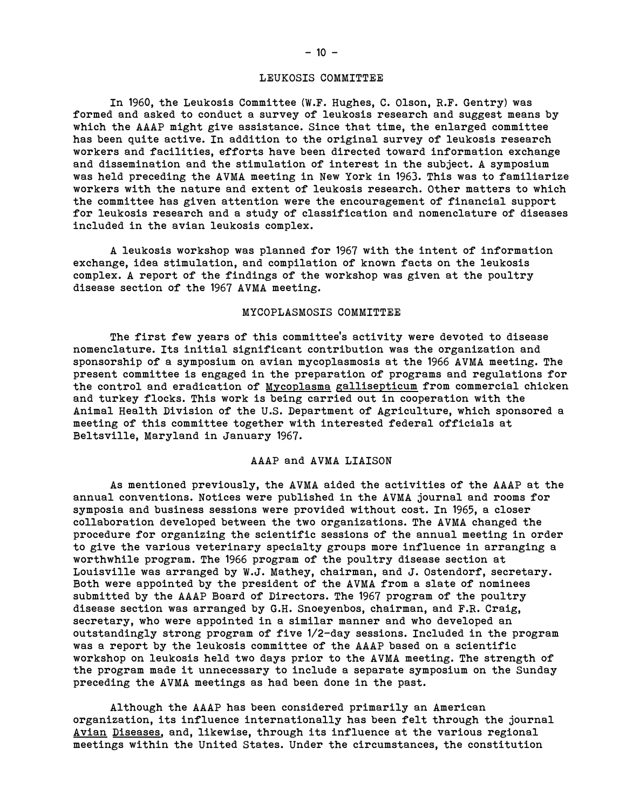#### LEUKOSIS COMMITTEE

In 1960, the Leukosis Committee (W.F. Hughes, C. Olson, R.F. Gentry) was formed and asked to conduct a survey of leukosis research and suggest means by which the AAAP might give assistance. Since that time, the enlarged committee has been quite active. In addition to the original survey of leukosis research workers and facilities, efforts have been directed toward information exchange and dissemination and the stimulation of interest in the subject. A symposium was held preceding the AVMA meeting in New York in 1963. This was to familiarize workers with the nature and extent of leukosis research. Other matters to which the committee has given attention were the encouragement of financial support for leukosis research and a study of classification and nomenclature of diseases included in the avian leukosis complex.

A leukosis workshop was planned for 1967 with the intent of information exchange, idea stimulation, and compilation of known facts on the leukosis complex. A report of the findings of the workshop was given at the poultry disease section of the 1967 AVMA meeting.

#### MYCOPLASMOSIS COMMITTEE

The first few years of this committee's activity were devoted to disease nomenclature. Its initial significant contribution was the organization and sponsorship of a symposium on avian mycoplasmosis at the 1966 AVMA meeting. The present committee is engaged in the preparation of programs and regulations for the control and eradication of Mycoplasma gallisepticum from commercial chicken and turkey flocks. This work is being carried out in cooperation with the Animal Health Division of the U.S. Department of Agriculture, which sponsored a meeting of this committee together with interested federal officials at Beltsville, Maryland in January 1967.

# AAAP and AVMA LIAISON

As mentioned previously, the AVMA aided the activities of the AAAP at the annual conventions. Notices were published in the AVMA journal and rooms for symposia and business sessions were provided without cost. In 1965, a closer collaboration developed between the two organizations. The AVMA changed the procedure for organizing the scientific sessions of the annual meeting in order to give the various veterinary specialty groups more influence in arranging a worthwhile program. The 1966 program of the poultry disease section at Louisville was arranged by W.J. Mathey, chairman, and J. Ostendorf, secretary. Both were appointed by the president of the AVMA from a slate of nominees submitted by the AAAP Board of Directors. The 1967 program of the poultry disease section was arranged by G.H. Snoeyenbos, chairman, and F.R. Craig, secretary, who were appointed in a similar manner and who developed an outstandingly strong program of five 1/2-day sessions. Included in the program was a report by the leukosis committee of the AAAP based on a scientific workshop on leukosis held two days prior to the AVMA meeting. The strength of the program made it unnecessary to include a separate symposium on the Sunday preceding the AVMA meetings as had been done in the past.

Although the AAAP has been considered primarily an American organization, its influence internationally has been felt through the journal Avian Diseases, and, likewise, through its influence at the various regional meetings within the United States. Under the circumstances, the constitution